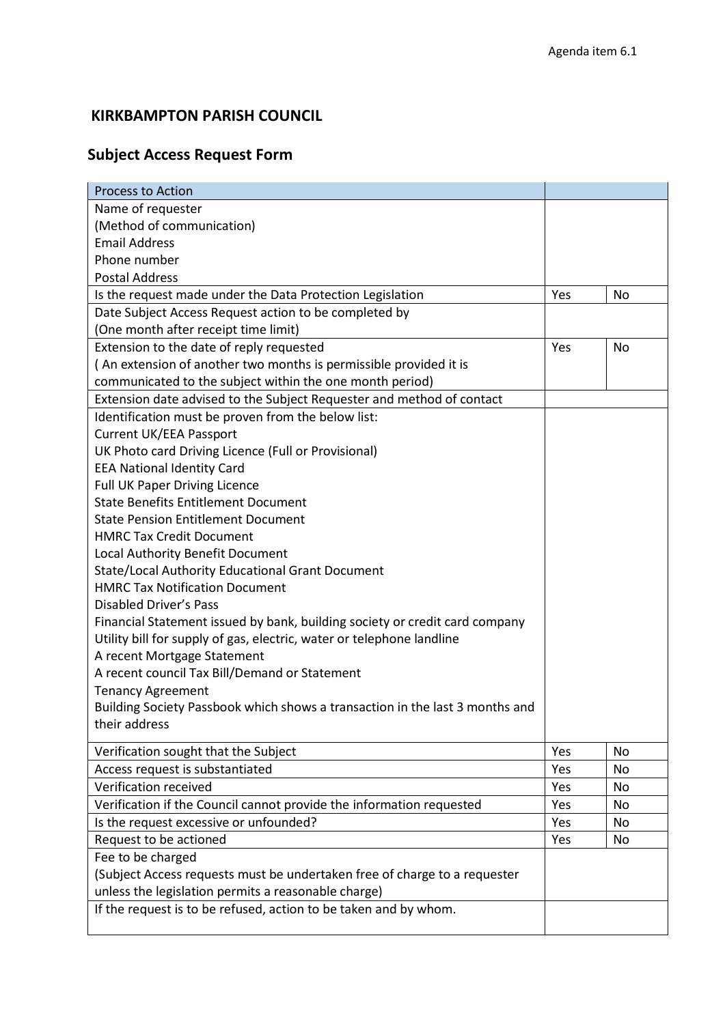## **KIRKBAMPTON PARISH COUNCIL**

## **Subject Access Request Form**

| <b>Process to Action</b>                                                     |     |           |
|------------------------------------------------------------------------------|-----|-----------|
| Name of requester                                                            |     |           |
| (Method of communication)                                                    |     |           |
| <b>Email Address</b>                                                         |     |           |
| Phone number                                                                 |     |           |
| <b>Postal Address</b>                                                        |     |           |
| Is the request made under the Data Protection Legislation                    | Yes | No        |
| Date Subject Access Request action to be completed by                        |     |           |
| (One month after receipt time limit)                                         |     |           |
| Extension to the date of reply requested                                     | Yes | No        |
| (An extension of another two months is permissible provided it is            |     |           |
| communicated to the subject within the one month period)                     |     |           |
| Extension date advised to the Subject Requester and method of contact        |     |           |
| Identification must be proven from the below list:                           |     |           |
| <b>Current UK/EEA Passport</b>                                               |     |           |
| UK Photo card Driving Licence (Full or Provisional)                          |     |           |
| <b>EEA National Identity Card</b>                                            |     |           |
| <b>Full UK Paper Driving Licence</b>                                         |     |           |
| <b>State Benefits Entitlement Document</b>                                   |     |           |
| <b>State Pension Entitlement Document</b>                                    |     |           |
| <b>HMRC Tax Credit Document</b>                                              |     |           |
| Local Authority Benefit Document                                             |     |           |
| State/Local Authority Educational Grant Document                             |     |           |
| <b>HMRC Tax Notification Document</b>                                        |     |           |
| <b>Disabled Driver's Pass</b>                                                |     |           |
| Financial Statement issued by bank, building society or credit card company  |     |           |
| Utility bill for supply of gas, electric, water or telephone landline        |     |           |
| A recent Mortgage Statement                                                  |     |           |
| A recent council Tax Bill/Demand or Statement                                |     |           |
| <b>Tenancy Agreement</b>                                                     |     |           |
| Building Society Passbook which shows a transaction in the last 3 months and |     |           |
| their address                                                                |     |           |
| Verification sought that the Subject                                         | Yes | <b>No</b> |
| Access request is substantiated                                              | Yes | No        |
| Verification received                                                        | Yes | No        |
| Verification if the Council cannot provide the information requested         | Yes | No        |
| Is the request excessive or unfounded?                                       | Yes | No        |
| Request to be actioned                                                       | Yes | No        |
| Fee to be charged                                                            |     |           |
| (Subject Access requests must be undertaken free of charge to a requester    |     |           |
| unless the legislation permits a reasonable charge)                          |     |           |
| If the request is to be refused, action to be taken and by whom.             |     |           |
|                                                                              |     |           |